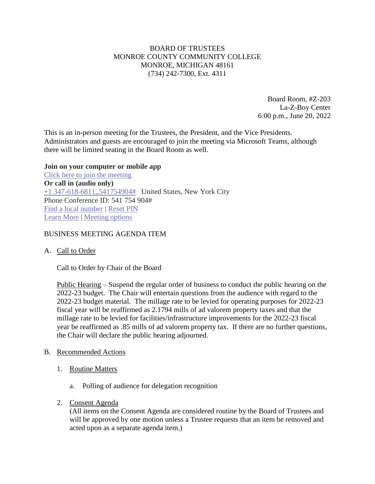# BOARD OF TRUSTEES MONROE COUNTY COMMUNITY COLLEGE MONROE, MICHIGAN 48161 (734) 242-7300, Ext. 4311

Board Room, #Z-203 La-Z-Boy Center 6:00 p.m., June 20, 2022

This is an in-person meeting for the Trustees, the President, and the Vice Presidents. Administrators and guests are encouraged to join the meeting via Microsoft Teams, although there will be limited seating in the Board Room as well.

#### **Join on your computer or mobile app**

[Click here to join the meeting](https://teams.microsoft.com/l/meetup-join/19%3ameeting_NGZhOTEyNWItYzZmYi00NWFjLTk3OTItYmRmNjJlMDlhOGVi%40thread.v2/0?context=%7b%22Tid%22%3a%2276f58c37-4ccb-4953-8754-48d3ac2857e6%22%2c%22Oid%22%3a%22cfa62792-2f83-486c-8009-c76a92253031%22%7d) **Or call in (audio only)** [+1 347-618-6811,,541754904#](tel:+13476186811,,541754904# ) United States, New York City Phone Conference ID: 541 754 904# [Find a local number](https://dialin.teams.microsoft.com/0a5b3283-82d4-44a2-a3da-3e0ac96718dd?id=541754904) | [Reset PIN](https://dialin.teams.microsoft.com/usp/pstnconferencing) [Learn More](https://aka.ms/JoinTeamsMeeting) | [Meeting options](https://teams.microsoft.com/meetingOptions/?organizerId=cfa62792-2f83-486c-8009-c76a92253031&tenantId=76f58c37-4ccb-4953-8754-48d3ac2857e6&threadId=19_meeting_NGZhOTEyNWItYzZmYi00NWFjLTk3OTItYmRmNjJlMDlhOGVi@thread.v2&messageId=0&language=en-US)

## BUSINESS MEETING AGENDA ITEM

A. Call to Order

Call to Order by Chair of the Board

Public Hearing – Suspend the regular order of business to conduct the public hearing on the 2022-23 budget. The Chair will entertain questions from the audience with regard to the 2022-23 budget material. The millage rate to be levied for operating purposes for 2022-23 fiscal year will be reaffirmed as 2.1794 mills of ad valorem property taxes and that the millage rate to be levied for facilities/infrastructure improvements for the 2022-23 fiscal year be reaffirmed as .85 mills of ad valorem property tax. If there are no further questions, the Chair will declare the public hearing adjourned.

### B. Recommended Actions

- 1. Routine Matters
	- a. Polling of audience for delegation recognition
- 2. Consent Agenda

(All items on the Consent Agenda are considered routine by the Board of Trustees and will be approved by one motion unless a Trustee requests that an item be removed and acted upon as a separate agenda item.)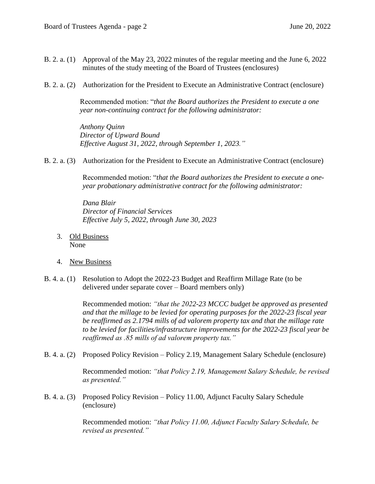- B. 2. a. (1) Approval of the May 23, 2022 minutes of the regular meeting and the June 6, 2022 minutes of the study meeting of the Board of Trustees (enclosures)
- B. 2. a. (2) Authorization for the President to Execute an Administrative Contract (enclosure)

Recommended motion: "*that the Board authorizes the President to execute a one year non-continuing contract for the following administrator:*

*Anthony Quinn Director of Upward Bound Effective August 31, 2022, through September 1, 2023."*

B. 2. a. (3) Authorization for the President to Execute an Administrative Contract (enclosure)

Recommended motion: "*that the Board authorizes the President to execute a oneyear probationary administrative contract for the following administrator:*

*Dana Blair Director of Financial Services Effective July 5, 2022, through June 30, 2023*

- 3. Old Business None
- 4. New Business
- B. 4. a. (1) Resolution to Adopt the 2022-23 Budget and Reaffirm Millage Rate (to be delivered under separate cover – Board members only)

Recommended motion: *"that the 2022-23 MCCC budget be approved as presented and that the millage to be levied for operating purposes for the 2022-23 fiscal year be reaffirmed as 2.1794 mills of ad valorem property tax and that the millage rate to be levied for facilities/infrastructure improvements for the 2022-23 fiscal year be reaffirmed as .85 mills of ad valorem property tax."*

B. 4. a. (2) Proposed Policy Revision – Policy 2.19, Management Salary Schedule (enclosure)

Recommended motion: *"that Policy 2.19, Management Salary Schedule, be revised as presented."*

B. 4. a. (3) Proposed Policy Revision – Policy 11.00, Adjunct Faculty Salary Schedule (enclosure)

> Recommended motion: *"that Policy 11.00, Adjunct Faculty Salary Schedule, be revised as presented."*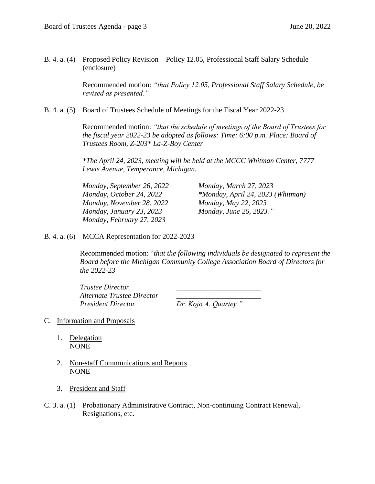B. 4. a. (4) Proposed Policy Revision – Policy 12.05, Professional Staff Salary Schedule (enclosure)

> Recommended motion: *"that Policy 12.05, Professional Staff Salary Schedule, be revised as presented."*

B. 4. a. (5) Board of Trustees Schedule of Meetings for the Fiscal Year 2022-23

Recommended motion: *"that the schedule of meetings of the Board of Trustees for the fiscal year 2022-23 be adopted as follows: Time: 6:00 p.m. Place: Board of Trustees Room, Z-203\* La-Z-Boy Center* 

*\*The April 24, 2023, meeting will be held at the MCCC Whitman Center, 7777 Lewis Avenue, Temperance, Michigan.*

*Monday, September 26, 2022 Monday, March 27, 2023 Monday, November 28, 2022 Monday, May 22, 2023 Monday, January 23, 2023 Monday, June 26, 2023." Monday, February 27, 2023*

*Monday, October 24, 2022 \*Monday, April 24, 2023 (Whitman)*

B. 4. a. (6) MCCA Representation for 2022-2023

Recommended motion: "*that the following individuals be designated to represent the Board before the Michigan Community College Association Board of Directors for the 2022-23*

*Trustee Director \_\_\_\_\_\_\_\_\_\_\_\_\_\_\_\_\_\_\_\_\_\_\_ Alternate Trustee Director \_\_\_\_\_\_\_\_\_\_\_\_\_\_\_\_\_\_\_\_\_\_\_ President Director Dr. Kojo A. Quartey."*

- C. Information and Proposals
	- 1. Delegation NONE
	- 2. Non-staff Communications and Reports NONE
	- 3. President and Staff
- C. 3. a. (1) Probationary Administrative Contract, Non-continuing Contract Renewal, Resignations, etc.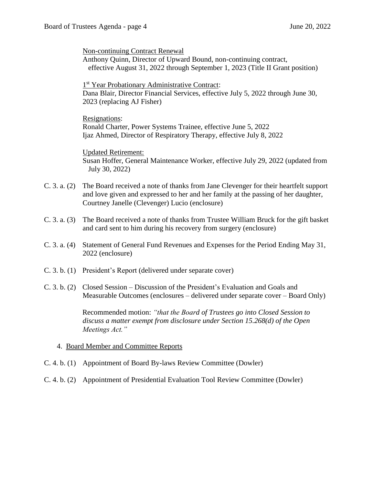Non-continuing Contract Renewal

Anthony Quinn, Director of Upward Bound, non-continuing contract, effective August 31, 2022 through September 1, 2023 (Title II Grant position)

1<sup>st</sup> Year Probationary Administrative Contract: Dana Blair, Director Financial Services, effective July 5, 2022 through June 30, 2023 (replacing AJ Fisher)

Resignations: Ronald Charter, Power Systems Trainee, effective June 5, 2022 Ijaz Ahmed, Director of Respiratory Therapy, effective July 8, 2022

Updated Retirement: Susan Hoffer, General Maintenance Worker, effective July 29, 2022 (updated from July 30, 2022)

- C. 3. a. (2) The Board received a note of thanks from Jane Clevenger for their heartfelt support and love given and expressed to her and her family at the passing of her daughter, Courtney Janelle (Clevenger) Lucio (enclosure)
- C. 3. a. (3) The Board received a note of thanks from Trustee William Bruck for the gift basket and card sent to him during his recovery from surgery (enclosure)
- C. 3. a. (4) Statement of General Fund Revenues and Expenses for the Period Ending May 31, 2022 (enclosure)
- C. 3. b. (1) President's Report (delivered under separate cover)
- C. 3. b. (2) Closed Session Discussion of the President's Evaluation and Goals and Measurable Outcomes (enclosures – delivered under separate cover – Board Only)

Recommended motion: *"that the Board of Trustees go into Closed Session to discuss a matter exempt from disclosure under Section 15.268(d) of the Open Meetings Act."*

# 4. Board Member and Committee Reports

- C. 4. b. (1) Appointment of Board By-laws Review Committee (Dowler)
- C. 4. b. (2) Appointment of Presidential Evaluation Tool Review Committee (Dowler)